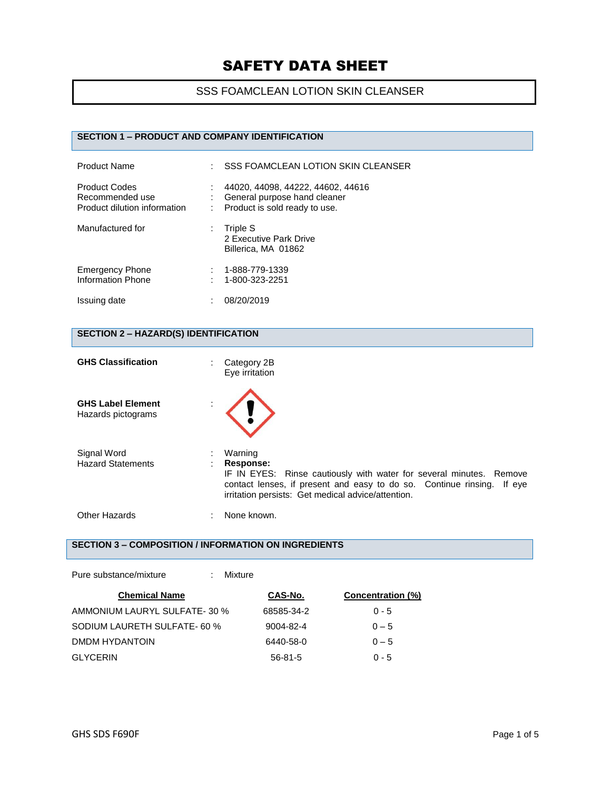### SSS FOAMCLEAN LOTION SKIN CLEANSER

## **SECTION 1 – PRODUCT AND COMPANY IDENTIFICATION**

| <b>Product Name</b>                                                     | ÷ | <b>SSS FOAMCLEAN LOTION SKIN CLEANSER</b>                                                          |
|-------------------------------------------------------------------------|---|----------------------------------------------------------------------------------------------------|
| <b>Product Codes</b><br>Recommended use<br>Product dilution information |   | 44020, 44098, 44222, 44602, 44616<br>General purpose hand cleaner<br>Product is sold ready to use. |
| Manufactured for                                                        |   | Triple S<br>2 Executive Park Drive<br>Billerica, MA 01862                                          |
| <b>Emergency Phone</b><br><b>Information Phone</b>                      |   | 1-888-779-1339<br>1-800-323-2251                                                                   |
| Issuing date                                                            |   | 08/20/2019                                                                                         |

#### **SECTION 2 – HAZARD(S) IDENTIFICATION**

| <b>GHS Classification</b>                      | Category 2B<br>÷<br>Eye irritation                                                                                                                                                                                          |
|------------------------------------------------|-----------------------------------------------------------------------------------------------------------------------------------------------------------------------------------------------------------------------------|
| <b>GHS Label Element</b><br>Hazards pictograms |                                                                                                                                                                                                                             |
| Signal Word<br><b>Hazard Statements</b>        | Warning<br>Response:<br>IF IN EYES: Rinse cautiously with water for several minutes. Remove<br>contact lenses, if present and easy to do so. Continue rinsing. If eye<br>irritation persists: Get medical advice/attention. |
| Other Hazards                                  | None known.                                                                                                                                                                                                                 |

# **SECTION 3 – COMPOSITION / INFORMATION ON INGREDIENTS**

Pure substance/mixture : Mixture

| <b>Chemical Name</b>         | CAS-No.         | Concentration (%) |
|------------------------------|-----------------|-------------------|
| AMMONIUM LAURYL SULFATE-30 % | 68585-34-2      | $0 - 5$           |
| SODIUM LAURETH SULFATE- 60 % | $9004 - 82 - 4$ | $0 - 5$           |
| DMDM HYDANTOIN               | 6440-58-0       | $0 - 5$           |
| <b>GLYCERIN</b>              | $56 - 81 - 5$   | $0 - 5$           |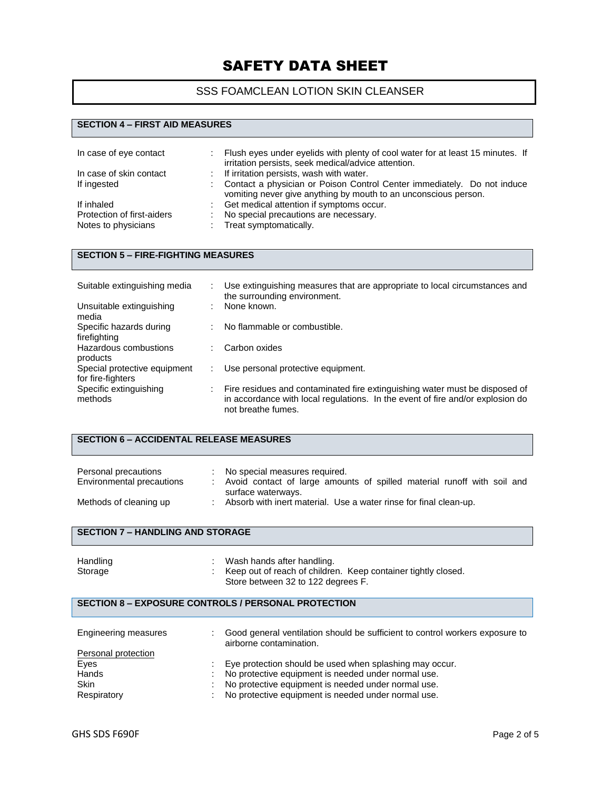## SSS FOAMCLEAN LOTION SKIN CLEANSER

#### **SECTION 4 – FIRST AID MEASURES**

| In case of eye contact     |   | Flush eyes under eyelids with plenty of cool water for at least 15 minutes. If<br>irritation persists, seek medical/advice attention.      |
|----------------------------|---|--------------------------------------------------------------------------------------------------------------------------------------------|
| In case of skin contact    |   | : If irritation persists, wash with water.                                                                                                 |
| If ingested                | ÷ | Contact a physician or Poison Control Center immediately. Do not induce<br>vomiting never give anything by mouth to an unconscious person. |
| If inhaled                 | ÷ | Get medical attention if symptoms occur.                                                                                                   |
| Protection of first-aiders | ÷ | No special precautions are necessary.                                                                                                      |
| Notes to physicians        |   | Treat symptomatically.                                                                                                                     |

### **SECTION 5 – FIRE-FIGHTING MEASURES**

| Suitable extinguishing media                      |   | Use extinguishing measures that are appropriate to local circumstances and<br>the surrounding environment.                                                                          |
|---------------------------------------------------|---|-------------------------------------------------------------------------------------------------------------------------------------------------------------------------------------|
| Unsuitable extinguishing<br>media                 | ٠ | None known.                                                                                                                                                                         |
| Specific hazards during<br>firefighting           | ÷ | No flammable or combustible.                                                                                                                                                        |
| Hazardous combustions<br>products                 | ÷ | Carbon oxides                                                                                                                                                                       |
| Special protective equipment<br>for fire-fighters |   | Use personal protective equipment.                                                                                                                                                  |
| Specific extinguishing<br>methods                 |   | Fire residues and contaminated fire extinguishing water must be disposed of<br>in accordance with local regulations. In the event of fire and/or explosion do<br>not breathe fumes. |

| <b>SECTION 6 – ACCIDENTAL RELEASE MEASURES</b>    |                                                                                                                                |  |  |
|---------------------------------------------------|--------------------------------------------------------------------------------------------------------------------------------|--|--|
| Personal precautions<br>Environmental precautions | No special measures required.<br>Avoid contact of large amounts of spilled material runoff with soil and<br>surface waterways. |  |  |
| Methods of cleaning up                            | Absorb with inert material. Use a water rinse for final clean-up.                                                              |  |  |

#### **SECTION 7 – HANDLING AND STORAGE**

| Handling | Wash hands after handling.                                    |  |
|----------|---------------------------------------------------------------|--|
| Storage  | Keep out of reach of children. Keep container tightly closed. |  |
|          | Store between 32 to 122 degrees F.                            |  |

#### **SECTION 8 – EXPOSURE CONTROLS / PERSONAL PROTECTION**

| Engineering measures | Good general ventilation should be sufficient to control workers exposure to<br>airborne contamination. |
|----------------------|---------------------------------------------------------------------------------------------------------|
| Personal protection  |                                                                                                         |
| Eyes                 | Eye protection should be used when splashing may occur.                                                 |
| Hands                | No protective equipment is needed under normal use.                                                     |
| <b>Skin</b>          | No protective equipment is needed under normal use.                                                     |
| Respiratory          | No protective equipment is needed under normal use.                                                     |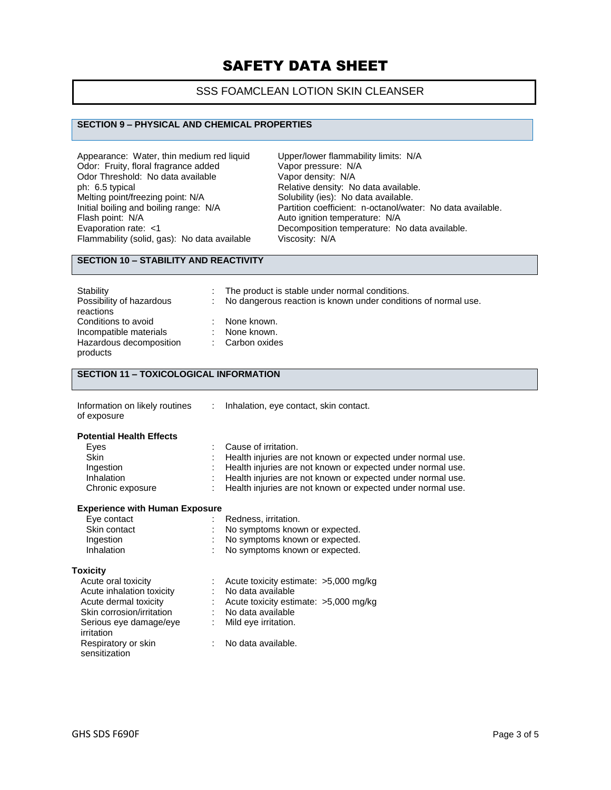### SSS FOAMCLEAN LOTION SKIN CLEANSER

#### **SECTION 9 – PHYSICAL AND CHEMICAL PROPERTIES**

Appearance: Water, thin medium red liquid Upper/lower flammability limits: N/A<br>Odor: Fruity, floral fragrance added Vapor pressure: N/A Odor: Fruity, floral fragrance added Vapor pressure: N/<br>Odor Threshold: No data available Vapor density: N/A Odor Threshold: No data available ph: 6.5 typical **Phenomical Relative density:** No data available.<br>
Melting point/freezing point: N/A Solubility (ies): No data available. Melting point/freezing point: N/A Solubility (ies): No data available.<br>
Initial boiling and boiling range: N/A Partition coefficient: n-octanol/wat Flash point: N/A<br>
Evaporation rate: <1 Channel Auto ignition temperature: N/A<br>
Decomposition temperature: N Flammability (solid, gas): No data available

Initial boiling and boiling range: N/A Partition coefficient: n-octanol/water: No data available.<br>Flash point: N/A Auto ignition temperature: N/A Decomposition temperature: No data available.<br>Viscosity: N/A

# **SECTION 10 – STABILITY AND REACTIVITY**

| Stability<br>Possibility of hazardous<br>reactions                                   | ÷.       | The product is stable under normal conditions.<br>No dangerous reaction is known under conditions of normal use. |
|--------------------------------------------------------------------------------------|----------|------------------------------------------------------------------------------------------------------------------|
| Conditions to avoid<br>Incompatible materials<br>Hazardous decomposition<br>products | ÷.<br>÷. | None known.<br>None known.<br>: Carbon oxides                                                                    |

#### **SECTION 11 – TOXICOLOGICAL INFORMATION**

| Information on likely routines<br>of exposure | Inhalation, eye contact, skin contact.                      |
|-----------------------------------------------|-------------------------------------------------------------|
| <b>Potential Health Effects</b>               |                                                             |
| Eyes                                          | Cause of irritation.                                        |
| <b>Skin</b>                                   | Health injuries are not known or expected under normal use. |
| Ingestion                                     | Health injuries are not known or expected under normal use. |
| Inhalation                                    | Health injuries are not known or expected under normal use. |
| Chronic exposure                              | Health injuries are not known or expected under normal use. |

#### **Experience with Human Exposure**

| Eye contact<br>Skin contact<br>Ingestion<br>Inhalation | Redness, irritation.<br>No symptoms known or expected.<br>No symptoms known or expected.<br>No symptoms known or expected. |
|--------------------------------------------------------|----------------------------------------------------------------------------------------------------------------------------|
| <b>Toxicity</b>                                        |                                                                                                                            |
| Acute oral toxicity                                    | Acute toxicity estimate: >5,000 mg/kg                                                                                      |
| Acute inhalation toxicity                              | No data available                                                                                                          |
| Acute dermal toxicity                                  | Acute toxicity estimate: >5,000 mg/kg                                                                                      |
| Skin corrosion/irritation                              | No data available                                                                                                          |
| Serious eye damage/eye<br>irritation                   | Mild eye irritation.                                                                                                       |
| Respiratory or skin<br>sensitization                   | No data available.                                                                                                         |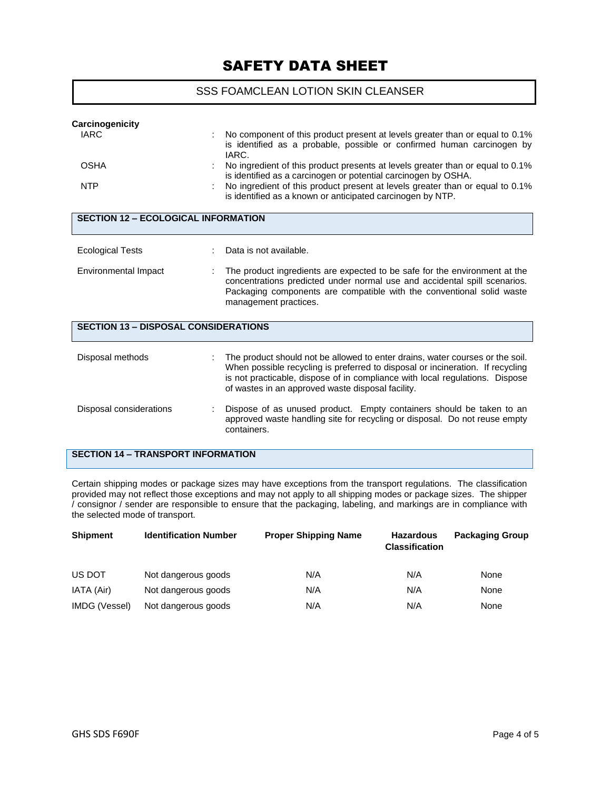#### SSS FOAMCLEAN LOTION SKIN CLEANSER

| Carcinogenicity                             |                                                                                                                                                                                                                                                                                                      |
|---------------------------------------------|------------------------------------------------------------------------------------------------------------------------------------------------------------------------------------------------------------------------------------------------------------------------------------------------------|
| <b>IARC</b>                                 | No component of this product present at levels greater than or equal to 0.1%<br>is identified as a probable, possible or confirmed human carcinogen by<br>IARC.                                                                                                                                      |
| <b>OSHA</b>                                 | No ingredient of this product presents at levels greater than or equal to 0.1%<br>is identified as a carcinogen or potential carcinogen by OSHA.                                                                                                                                                     |
| <b>NTP</b>                                  | No ingredient of this product present at levels greater than or equal to 0.1%<br>is identified as a known or anticipated carcinogen by NTP.                                                                                                                                                          |
| <b>SECTION 12 - ECOLOGICAL INFORMATION</b>  |                                                                                                                                                                                                                                                                                                      |
| <b>Ecological Tests</b>                     | Data is not available.                                                                                                                                                                                                                                                                               |
| Environmental Impact                        | The product ingredients are expected to be safe for the environment at the<br>concentrations predicted under normal use and accidental spill scenarios.<br>Packaging components are compatible with the conventional solid waste<br>management practices.                                            |
| <b>SECTION 13 - DISPOSAL CONSIDERATIONS</b> |                                                                                                                                                                                                                                                                                                      |
| Disposal methods                            | The product should not be allowed to enter drains, water courses or the soil.<br>When possible recycling is preferred to disposal or incineration. If recycling<br>is not practicable, dispose of in compliance with local regulations. Dispose<br>of wastes in an approved waste disposal facility. |
| Disposal considerations                     | Dispose of as unused product. Empty containers should be taken to an<br>approved waste handling site for recycling or disposal. Do not reuse empty<br>containers.                                                                                                                                    |
| <b>SECTION 14 - TRANSPORT INFORMATION</b>   |                                                                                                                                                                                                                                                                                                      |

Certain shipping modes or package sizes may have exceptions from the transport regulations. The classification provided may not reflect those exceptions and may not apply to all shipping modes or package sizes. The shipper / consignor / sender are responsible to ensure that the packaging, labeling, and markings are in compliance with the selected mode of transport.

| <b>Shipment</b> | <b>Identification Number</b> | <b>Proper Shipping Name</b> | <b>Hazardous</b><br><b>Classification</b> | <b>Packaging Group</b> |
|-----------------|------------------------------|-----------------------------|-------------------------------------------|------------------------|
| US DOT          | Not dangerous goods          | N/A                         | N/A                                       | None                   |
| IATA (Air)      | Not dangerous goods          | N/A                         | N/A                                       | None                   |
| IMDG (Vessel)   | Not dangerous goods          | N/A                         | N/A                                       | None                   |